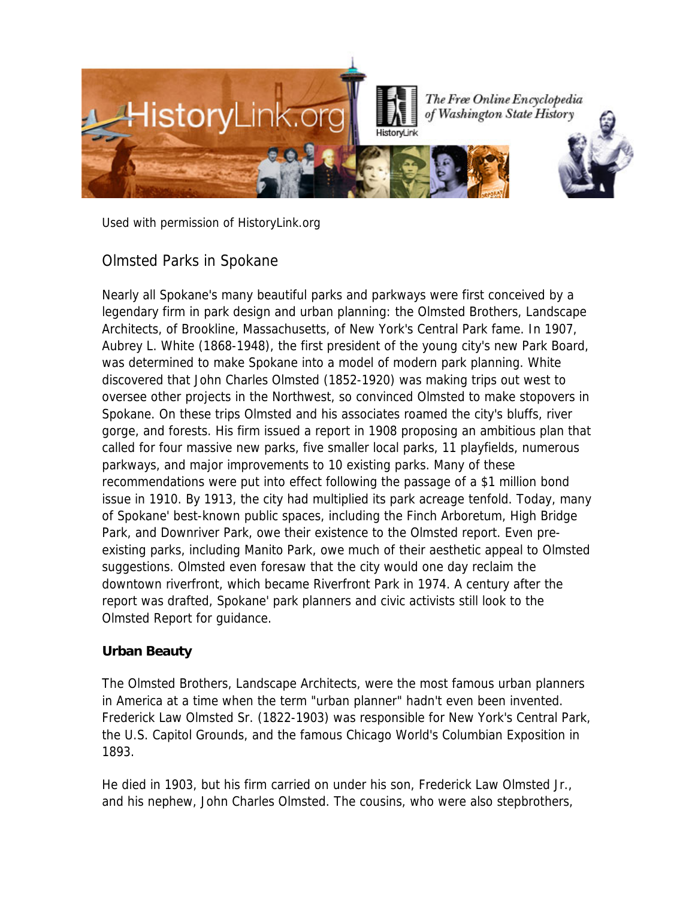

Used with permission of HistoryLink.org

# Olmsted Parks in Spokane

Nearly all Spokane's many beautiful parks and parkways were first conceived by a legendary firm in park design and urban planning: the Olmsted Brothers, Landscape Architects, of Brookline, Massachusetts, of New York's Central Park fame. In 1907, Aubrey L. White (1868-1948), the first president of the young city's new Park Board, was determined to make Spokane into a model of modern park planning. White discovered that John Charles Olmsted (1852-1920) was making trips out west to oversee other projects in the Northwest, so convinced Olmsted to make stopovers in Spokane. On these trips Olmsted and his associates roamed the city's bluffs, river gorge, and forests. His firm issued a report in 1908 proposing an ambitious plan that called for four massive new parks, five smaller local parks, 11 playfields, numerous parkways, and major improvements to 10 existing parks. Many of these recommendations were put into effect following the passage of a \$1 million bond issue in 1910. By 1913, the city had multiplied its park acreage tenfold. Today, many of Spokane' best-known public spaces, including the Finch Arboretum, High Bridge Park, and Downriver Park, owe their existence to the Olmsted report. Even preexisting parks, including Manito Park, owe much of their aesthetic appeal to Olmsted suggestions. Olmsted even foresaw that the city would one day reclaim the downtown riverfront, which became Riverfront Park in 1974. A century after the report was drafted, Spokane' park planners and civic activists still look to the Olmsted Report for guidance.

## **Urban Beauty**

The Olmsted Brothers, Landscape Architects, were the most famous urban planners in America at a time when the term "urban planner" hadn't even been invented. Frederick Law Olmsted Sr. (1822-1903) was responsible for New York's Central Park, the U.S. Capitol Grounds, and the famous Chicago World's Columbian Exposition in 1893.

He died in 1903, but his firm carried on under his son, Frederick Law Olmsted Jr., and his nephew, John Charles Olmsted. The cousins, who were also stepbrothers,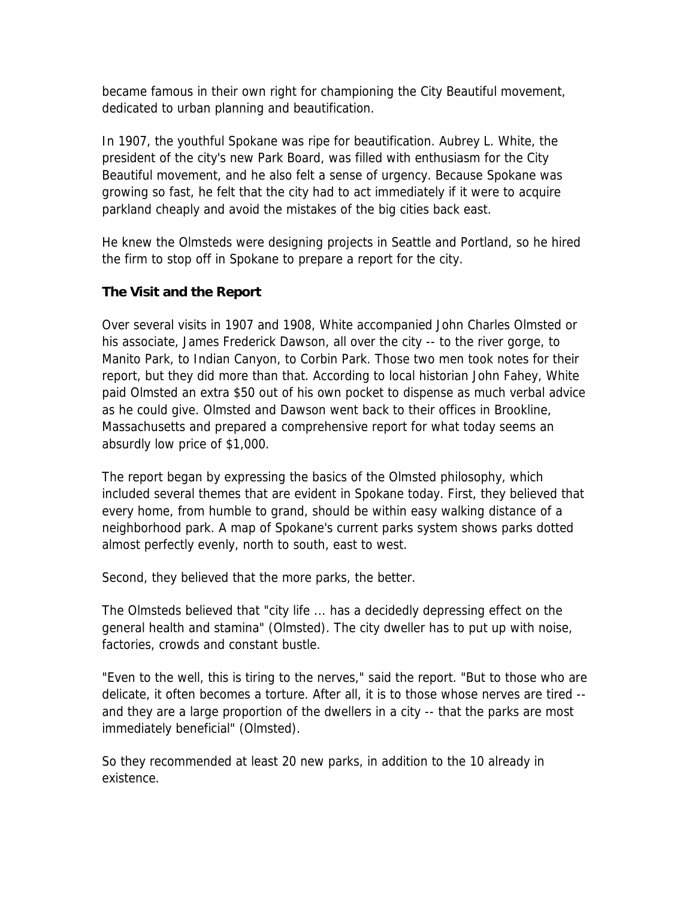became famous in their own right for championing the City Beautiful movement, dedicated to urban planning and beautification.

In 1907, the youthful Spokane was ripe for beautification. Aubrey L. White, the president of the city's new Park Board, was filled with enthusiasm for the City Beautiful movement, and he also felt a sense of urgency. Because Spokane was growing so fast, he felt that the city had to act immediately if it were to acquire parkland cheaply and avoid the mistakes of the big cities back east.

He knew the Olmsteds were designing projects in Seattle and Portland, so he hired the firm to stop off in Spokane to prepare a report for the city.

### **The Visit and the Report**

Over several visits in 1907 and 1908, White accompanied John Charles Olmsted or his associate, James Frederick Dawson, all over the city -- to the river gorge, to Manito Park, to Indian Canyon, to Corbin Park. Those two men took notes for their report, but they did more than that. According to local historian John Fahey, White paid Olmsted an extra \$50 out of his own pocket to dispense as much verbal advice as he could give. Olmsted and Dawson went back to their offices in Brookline, Massachusetts and prepared a comprehensive report for what today seems an absurdly low price of \$1,000.

The report began by expressing the basics of the Olmsted philosophy, which included several themes that are evident in Spokane today. First, they believed that every home, from humble to grand, should be within easy walking distance of a neighborhood park. A map of Spokane's current parks system shows parks dotted almost perfectly evenly, north to south, east to west.

Second, they believed that the more parks, the better.

The Olmsteds believed that "city life ... has a decidedly depressing effect on the general health and stamina" (Olmsted). The city dweller has to put up with noise, factories, crowds and constant bustle.

"Even to the well, this is tiring to the nerves," said the report. "But to those who are delicate, it often becomes a torture. After all, it is to those whose nerves are tired - and they are a large proportion of the dwellers in a city -- that the parks are most immediately beneficial" (Olmsted).

So they recommended at least 20 new parks, in addition to the 10 already in existence.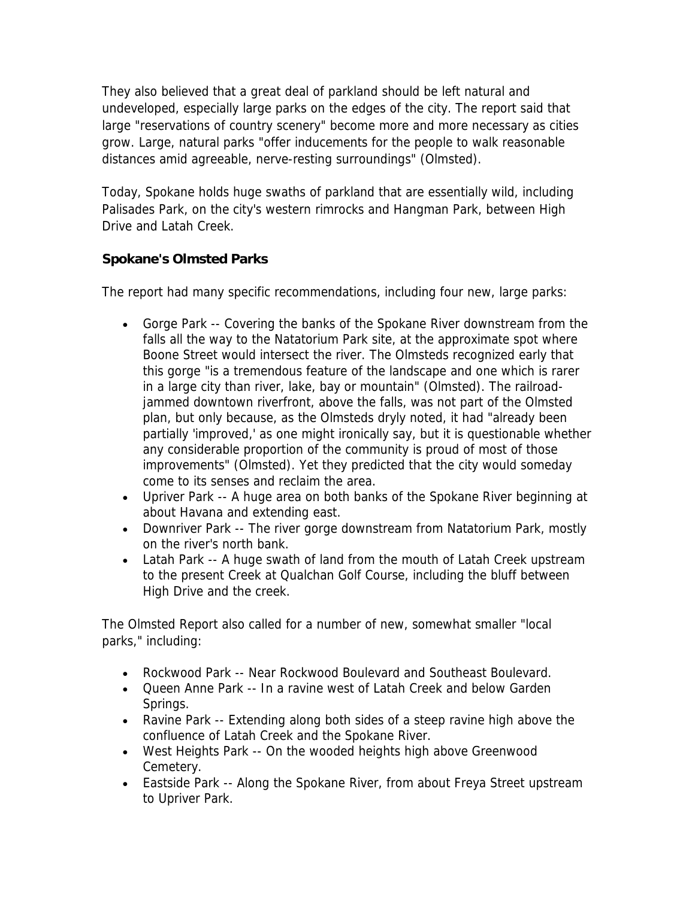They also believed that a great deal of parkland should be left natural and undeveloped, especially large parks on the edges of the city. The report said that large "reservations of country scenery" become more and more necessary as cities grow. Large, natural parks "offer inducements for the people to walk reasonable distances amid agreeable, nerve-resting surroundings" (Olmsted).

Today, Spokane holds huge swaths of parkland that are essentially wild, including Palisades Park, on the city's western rimrocks and Hangman Park, between High Drive and Latah Creek.

## **Spokane's Olmsted Parks**

The report had many specific recommendations, including four new, large parks:

- Gorge Park -- Covering the banks of the Spokane River downstream from the falls all the way to the Natatorium Park site, at the approximate spot where Boone Street would intersect the river. The Olmsteds recognized early that this gorge "is a tremendous feature of the landscape and one which is rarer in a large city than river, lake, bay or mountain" (Olmsted). The railroadjammed downtown riverfront, above the falls, was not part of the Olmsted plan, but only because, as the Olmsteds dryly noted, it had "already been partially 'improved,' as one might ironically say, but it is questionable whether any considerable proportion of the community is proud of most of those improvements" (Olmsted). Yet they predicted that the city would someday come to its senses and reclaim the area.
- Upriver Park -- A huge area on both banks of the Spokane River beginning at about Havana and extending east.
- Downriver Park -- The river gorge downstream from Natatorium Park, mostly on the river's north bank.
- Latah Park -- A huge swath of land from the mouth of Latah Creek upstream to the present Creek at Qualchan Golf Course, including the bluff between High Drive and the creek.

The Olmsted Report also called for a number of new, somewhat smaller "local parks," including:

- Rockwood Park -- Near Rockwood Boulevard and Southeast Boulevard.
- Queen Anne Park -- In a ravine west of Latah Creek and below Garden Springs.
- Ravine Park -- Extending along both sides of a steep ravine high above the confluence of Latah Creek and the Spokane River.
- West Heights Park -- On the wooded heights high above Greenwood Cemetery.
- Eastside Park -- Along the Spokane River, from about Freya Street upstream to Upriver Park.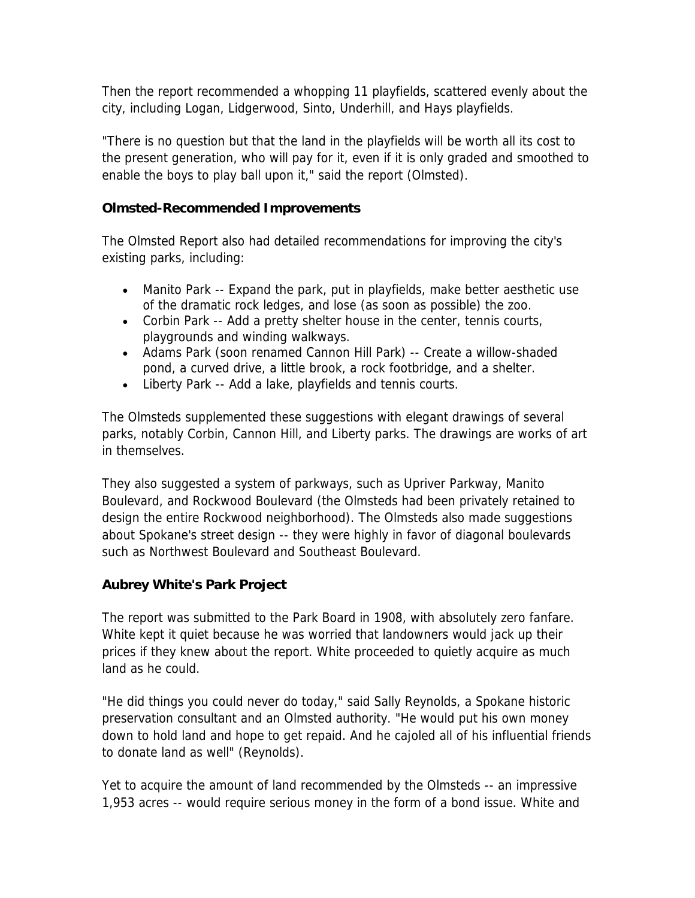Then the report recommended a whopping 11 playfields, scattered evenly about the city, including Logan, Lidgerwood, Sinto, Underhill, and Hays playfields.

"There is no question but that the land in the playfields will be worth all its cost to the present generation, who will pay for it, even if it is only graded and smoothed to enable the boys to play ball upon it," said the report (Olmsted).

### **Olmsted-Recommended Improvements**

The Olmsted Report also had detailed recommendations for improving the city's existing parks, including:

- Manito Park -- Expand the park, put in playfields, make better aesthetic use of the dramatic rock ledges, and lose (as soon as possible) the zoo.
- Corbin Park -- Add a pretty shelter house in the center, tennis courts, playgrounds and winding walkways.
- Adams Park (soon renamed Cannon Hill Park) -- Create a willow-shaded pond, a curved drive, a little brook, a rock footbridge, and a shelter.
- Liberty Park -- Add a lake, playfields and tennis courts.

The Olmsteds supplemented these suggestions with elegant drawings of several parks, notably Corbin, Cannon Hill, and Liberty parks. The drawings are works of art in themselves.

They also suggested a system of parkways, such as Upriver Parkway, Manito Boulevard, and Rockwood Boulevard (the Olmsteds had been privately retained to design the entire Rockwood neighborhood). The Olmsteds also made suggestions about Spokane's street design -- they were highly in favor of diagonal boulevards such as Northwest Boulevard and Southeast Boulevard.

## **Aubrey White's Park Project**

The report was submitted to the Park Board in 1908, with absolutely zero fanfare. White kept it quiet because he was worried that landowners would jack up their prices if they knew about the report. White proceeded to quietly acquire as much land as he could.

"He did things you could never do today," said Sally Reynolds, a Spokane historic preservation consultant and an Olmsted authority. "He would put his own money down to hold land and hope to get repaid. And he cajoled all of his influential friends to donate land as well" (Reynolds).

Yet to acquire the amount of land recommended by the Olmsteds -- an impressive 1,953 acres -- would require serious money in the form of a bond issue. White and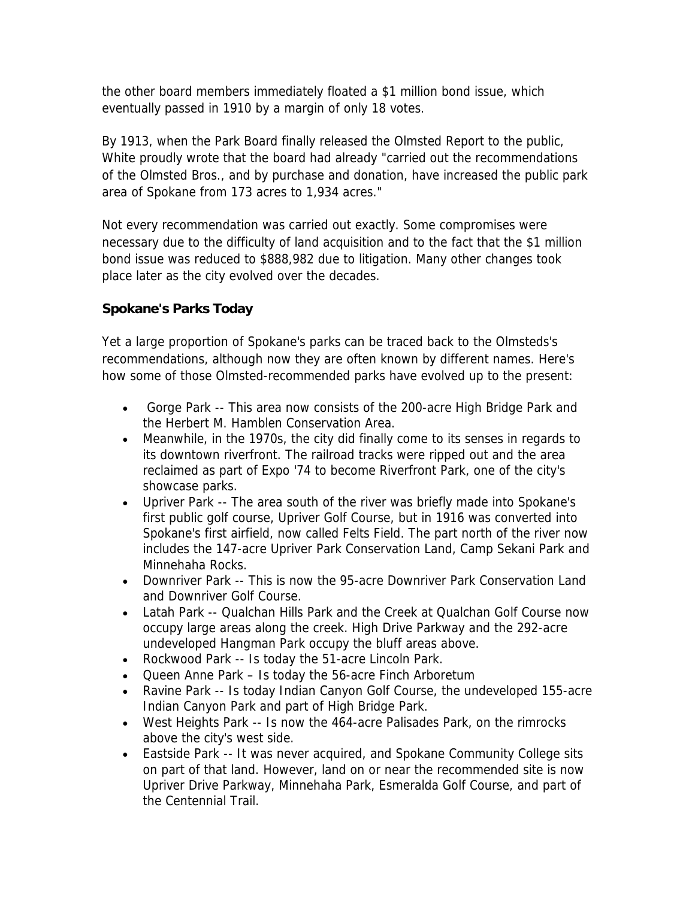the other board members immediately floated a \$1 million bond issue, which eventually passed in 1910 by a margin of only 18 votes.

By 1913, when the Park Board finally released the Olmsted Report to the public, White proudly wrote that the board had already "carried out the recommendations of the Olmsted Bros., and by purchase and donation, have increased the public park area of Spokane from 173 acres to 1,934 acres."

Not every recommendation was carried out exactly. Some compromises were necessary due to the difficulty of land acquisition and to the fact that the \$1 million bond issue was reduced to \$888,982 due to litigation. Many other changes took place later as the city evolved over the decades.

## **Spokane's Parks Today**

Yet a large proportion of Spokane's parks can be traced back to the Olmsteds's recommendations, although now they are often known by different names. Here's how some of those Olmsted-recommended parks have evolved up to the present:

- Gorge Park -- This area now consists of the 200-acre High Bridge Park and the Herbert M. Hamblen Conservation Area.
- Meanwhile, in the 1970s, the city did finally come to its senses in regards to its downtown riverfront. The railroad tracks were ripped out and the area reclaimed as part of Expo '74 to become Riverfront Park, one of the city's showcase parks.
- Upriver Park -- The area south of the river was briefly made into Spokane's first public golf course, Upriver Golf Course, but in 1916 was converted into Spokane's first airfield, now called Felts Field. The part north of the river now includes the 147-acre Upriver Park Conservation Land, Camp Sekani Park and Minnehaha Rocks.
- Downriver Park -- This is now the 95-acre Downriver Park Conservation Land and Downriver Golf Course.
- Latah Park -- Qualchan Hills Park and the Creek at Qualchan Golf Course now occupy large areas along the creek. High Drive Parkway and the 292-acre undeveloped Hangman Park occupy the bluff areas above.
- Rockwood Park -- Is today the 51-acre Lincoln Park.
- Queen Anne Park Is today the 56-acre Finch Arboretum
- Ravine Park -- Is today Indian Canyon Golf Course, the undeveloped 155-acre Indian Canyon Park and part of High Bridge Park.
- West Heights Park -- Is now the 464-acre Palisades Park, on the rimrocks above the city's west side.
- Eastside Park -- It was never acquired, and Spokane Community College sits on part of that land. However, land on or near the recommended site is now Upriver Drive Parkway, Minnehaha Park, Esmeralda Golf Course, and part of the Centennial Trail.